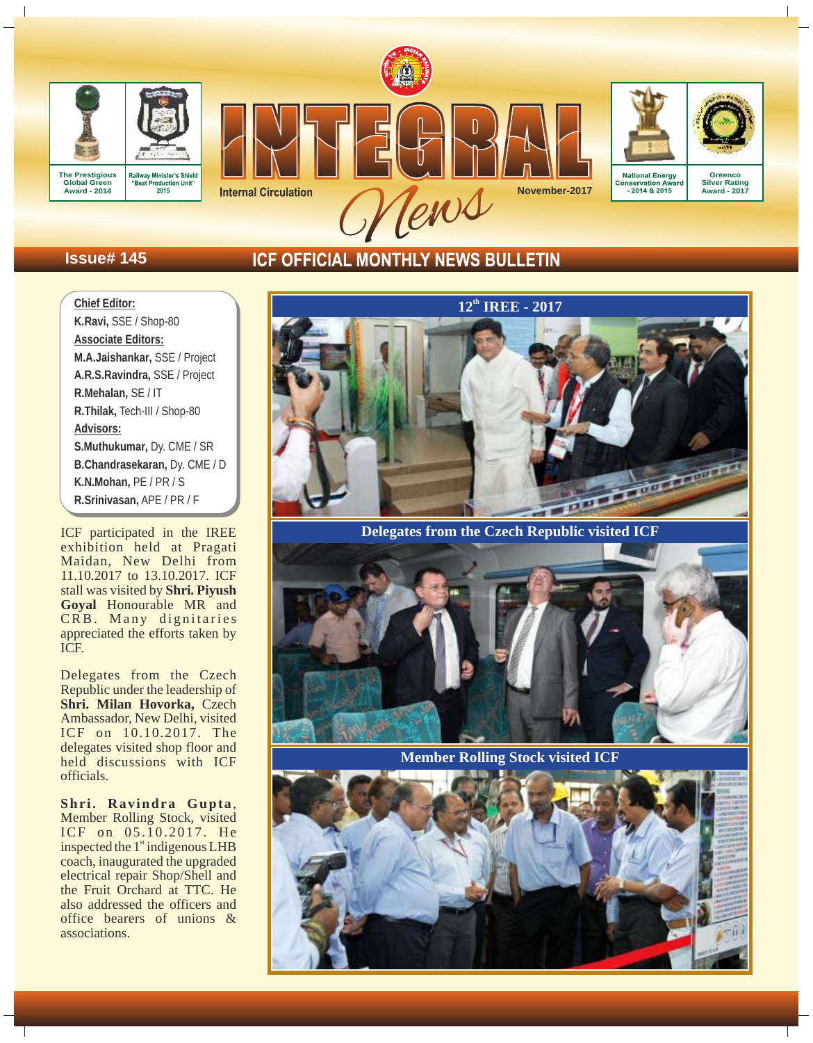



Tens **November-2017**





Conservation Awa .<br>rand

**Greenco Silver Rating Award - 2017**

# **Issue# 145**

# **ICF OFFICIAL MONTHLY NEWS BULLETIN**

**Chief Editor: K.Ravi,** SSE / Shop-80 **Associate Editors: M.A.Jaishankar,** SSE / Project **A.R.S.Ravindra,** SSE / Project **R.Mehalan,** SE / IT **R.Thilak,** Tech-III / Shop-80 **Advisors: S.Muthukumar,** Dy. CME / SR **B.Chandrasekaran,** Dy. CME / D **K.N.Mohan,** PE / PR / S **R.Srinivasan,** APE / PR / F

ICF participated in the IREE exhibition held at Pragati Maidan, New Delhi from 11.10.2017 to 13.10.2017. ICF stall was visited by **Shri. Piyush**  Goyal Honourable MR and CRB. Many dignitaries appreciated the efforts taken by ICF.

Delegates from the Czech Republic under the leadership of **Shri. Milan Hovorka,** Czech Ambassador, New Delhi, visited ICF on 10.10.2017. The delegates visited shop floor and held discussions with ICF officials.

**Shr i. Ravindra Gupta**, Member Rolling Stock, visited ICF on 05.10.2017. He inspected the  $1<sup>st</sup>$  indigenous LHB coach, inaugurated the upgraded electrical repair Shop/Shell and the Fruit Orchard at TTC. He also addressed the officers and office bearers of unions & associations.



**Delegates from the Czech Republic visited ICF**



**Member Rolling Stock visited ICF**

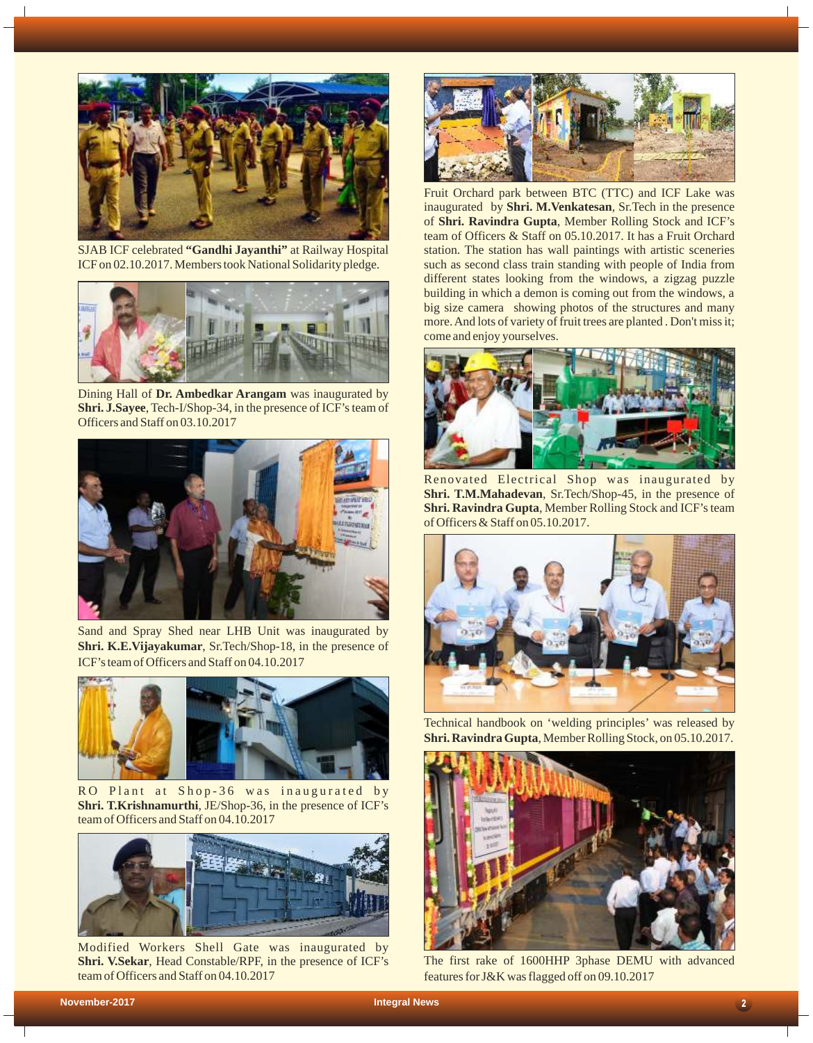

SJAB ICF celebrated **"Gandhi Jayanthi"** at Railway Hospital ICF on 02.10.2017. Members took National Solidarity pledge.



Dining Hall of **Dr. Ambedkar Arangam** was inaugurated by **Shri. J.Sayee**, Tech-I/Shop-34, in the presence of ICF's team of Officers and Staff on 03.10.2017



Sand and Spray Shed near LHB Unit was inaugurated by **Shri. K.E.Vijayakumar**, Sr.Tech/Shop-18, in the presence of ICF's team of Officers and Staff on 04.10.2017



RO Plant at Shop-36 was inaugurated by **Shri. T.Krishnamurthi**, JE/Shop-36, in the presence of ICF's team of Officers and Staff on 04.10.2017



Modified Workers Shell Gate was inaugurated by **Shri. V.Sekar**, Head Constable/RPF, in the presence of ICF's team of Officers and Staff on 04.10.2017



Fruit Orchard park between BTC (TTC) and ICF Lake was inaugurated by **Shri. M.Venkatesan**, Sr.Tech in the presence of **Shri. Ravindra Gupta**, Member Rolling Stock and ICF's team of Officers & Staff on 05.10.2017. It has a Fruit Orchard station. The station has wall paintings with artistic sceneries such as second class train standing with people of India from different states looking from the windows, a zigzag puzzle building in which a demon is coming out from the windows, a big size camera showing photos of the structures and many more. And lots of variety of fruit trees are planted . Don't miss it; come and enjoy yourselves.



Renovated Electrical Shop was inaugurated by **Shri. T.M.Mahadevan**, Sr.Tech/Shop-45, in the presence of **Shri. Ravindra Gupta**, Member Rolling Stock and ICF's team of Officers & Staff on 05.10.2017.



Technical handbook on 'welding principles' was released by **Shri. Ravindra Gupta**, Member Rolling Stock, on 05.10.2017.



The first rake of 1600HHP 3phase DEMU with advanced features for J&K was flagged off on 09.10.2017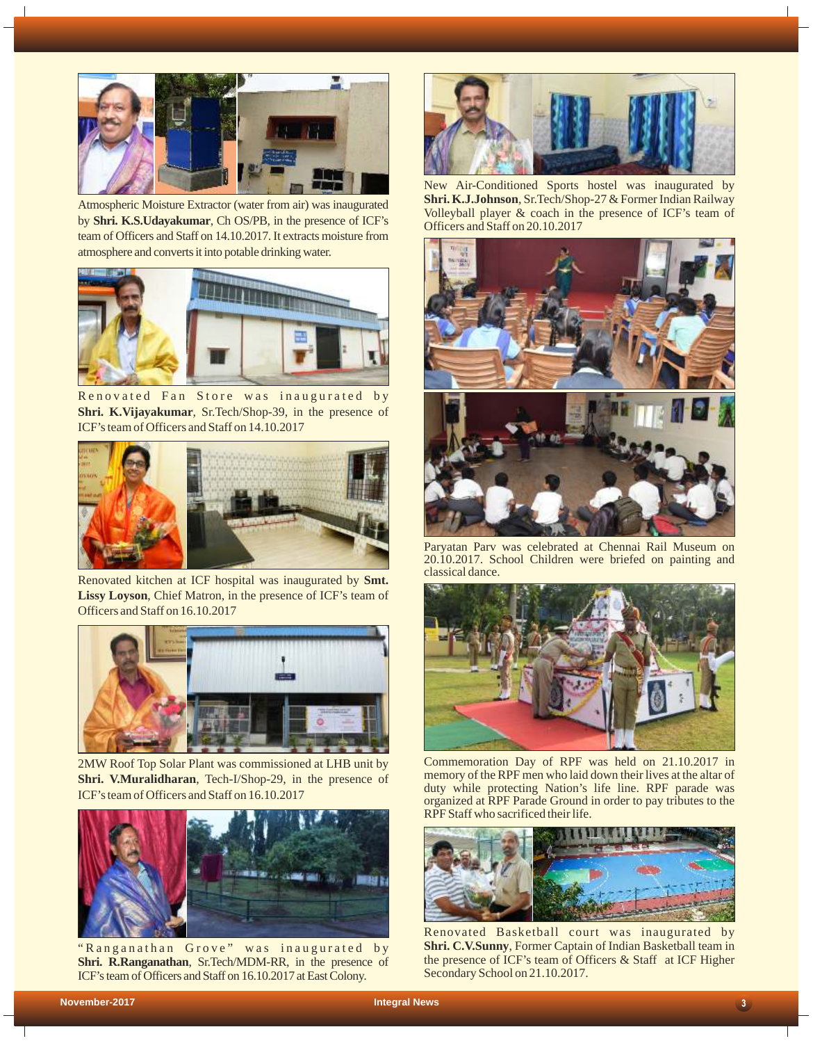

Atmospheric Moisture Extractor (water from air) was inaugurated by **Shri. K.S.Udayakumar**, Ch OS/PB, in the presence of ICF's team of Officers and Staff on 14.10.2017. It extracts moisture from atmosphere and converts it into potable drinking water.



Renovated Fan Store was inaugurated by **Shri. K.Vijayakumar**, Sr.Tech/Shop-39, in the presence of ICF's team of Officers and Staff on 14.10.2017



Renovated kitchen at ICF hospital was inaugurated by **Smt. Lissy Loyson**, Chief Matron, in the presence of ICF's team of Officers and Staff on 16.10.2017



2MW Roof Top Solar Plant was commissioned at LHB unit by **Shri. V.Muralidharan**, Tech-I/Shop-29, in the presence of ICF's team of Officers and Staff on 16.10.2017



"Ranganathan Grove" was inaugurated by **Shri. R.Ranganathan**, Sr.Tech/MDM-RR, in the presence of ICF's team of Officers and Staff on 16.10.2017 at East Colony.



New Air-Conditioned Sports hostel was inaugurated by **Shri. K.J.Johnson**, Sr.Tech/Shop-27 & Former Indian Railway Volleyball player & coach in the presence of ICF's team of Officers and Staff on 20.10.2017



Paryatan Parv was celebrated at Chennai Rail Museum on 20.10.2017. School Children were briefed on painting and classical dance.



Commemoration Day of RPF was held on 21.10.2017 in memory of the RPF men who laid down their lives at the altar of duty while protecting Nation's life line. RPF parade was organized at RPF Parade Ground in order to pay tributes to the RPF Staff who sacrificed their life.



Renovated Basketball court was inaugurated by **Shri. C.V.Sunny**, Former Captain of Indian Basketball team in the presence of ICF's team of Officers & Staff at ICF Higher Secondary School on 21.10.2017.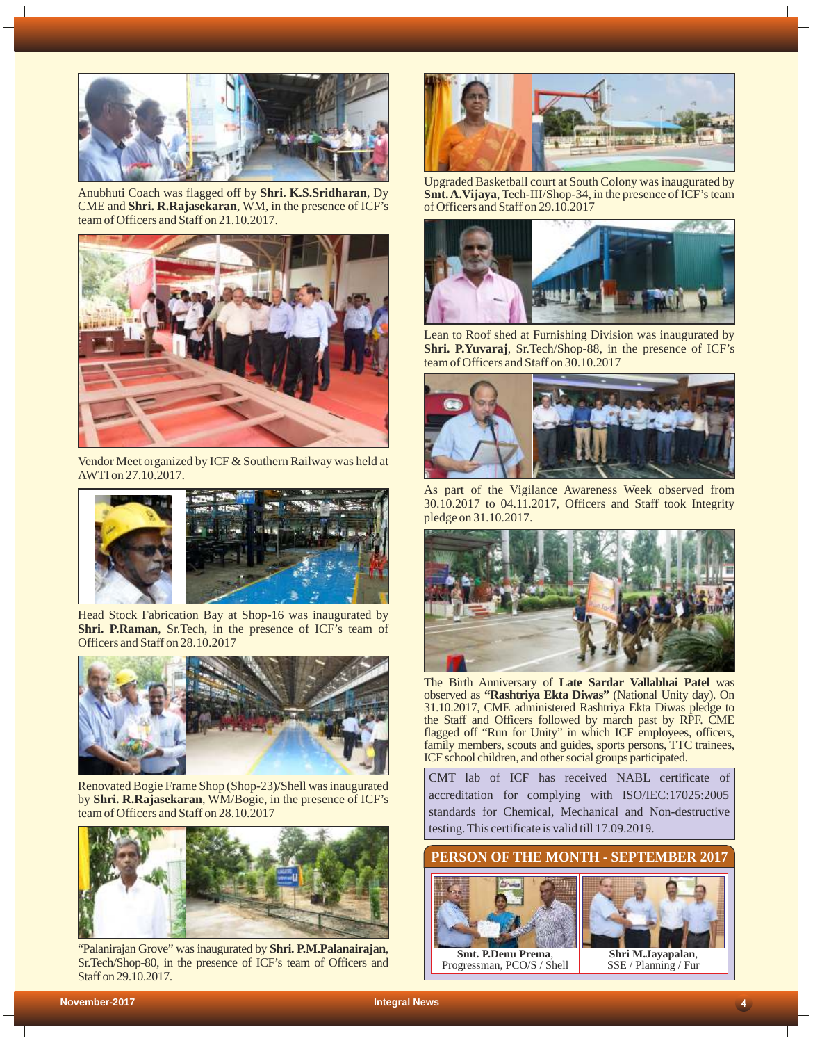

Anubhuti Coach was flagged off by **Shri. K.S.Sridharan**, Dy CME and **Shri. R.Rajasekaran**, WM, in the presence of ICF's team of Officers and Staff on 21.10.2017.



Vendor Meet organized by ICF & Southern Railway was held at AWTI on 27.10.2017.



Head Stock Fabrication Bay at Shop-16 was inaugurated by **Shri. P.Raman**, Sr.Tech, in the presence of ICF's team of Officers and Staff on 28.10.2017



Renovated Bogie Frame Shop (Shop-23)/Shell was inaugurated by **Shri. R.Rajasekaran**, WM/Bogie, in the presence of ICF's team of Officers and Staff on 28.10.2017



"Palanirajan Grove" was inaugurated by **Shri. P.M.Palanairajan**, Sr.Tech/Shop-80, in the presence of ICF's team of Officers and Staff on 29.10.2017.



Upgraded Basketball court at South Colony was inaugurated by **Smt. A.Vijaya**, Tech-III/Shop-34, in the presence of ICF's team of Officers and Staff on 29.10.2017



Lean to Roof shed at Furnishing Division was inaugurated by **Shri. P.Yuvaraj**, Sr.Tech/Shop-88, in the presence of ICF's team of Officers and Staff on 30.10.2017



As part of the Vigilance Awareness Week observed from 30.10.2017 to 04.11.2017, Officers and Staff took Integrity pledge on 31.10.2017.



The Birth Anniversary of **Late Sardar Vallabhai Patel** was observed as **"Rashtriya Ekta Diwas"** (National Unity day). On 31.10.2017, CME administered Rashtriya Ekta Diwas pledge to the Staff and Officers followed by march past by RPF. CME flagged off "Run for Unity" in which ICF employees, officers, family members, scouts and guides, sports persons, TTC trainees, ICF school children, and other social groups participated.

CMT lab of ICF has received NABL certificate of accreditation for complying with ISO/IEC:17025:2005 standards for Chemical, Mechanical and Non-destructive testing. This certificate is valid till 17.09.2019.



Progressman, PCO/S / Shell



SSE / Planning / Fur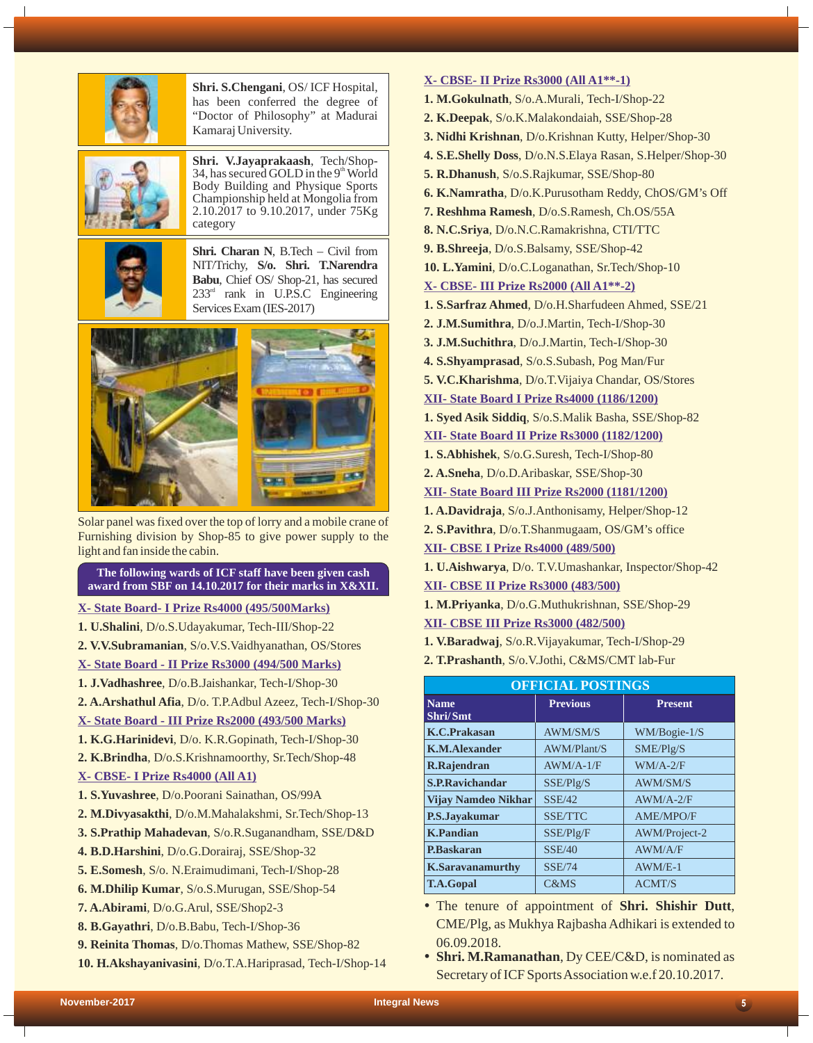

**Shri. S.Chengani**, OS/ ICF Hospital, has been conferred the degree of "Doctor of Philosophy" at Madurai Kamaraj University.



**Shri. V.Jayaprakaash**, Tech/Shop-34, has secured GOLD in the  $9<sup>th</sup>$  World Body Building and Physique Sports Championship held at Mongolia from 2.10.2017 to 9.10.2017, under 75Kg category



**Shri. Charan N**, B.Tech – Civil from NIT/Trichy, **S/o. Shri. T.Narendra Babu**, Chief OS/ Shop-21, has secured  $233<sup>rd</sup>$  rank in U.P.S.C Engineering Services Exam (IES-2017)



Solar panel was fixed over the top of lorry and a mobile crane of Furnishing division by Shop-85 to give power supply to the light and fan inside the cabin.

## **The following wards of ICF staff have been given cash award from SBF on 14.10.2017 for their marks in X&XII.**

## **X- State Board- I Prize Rs4000 (495/500Marks)**

- **1. U.Shalini**, D/o.S.Udayakumar, Tech-III/Shop-22
- **2. V.V.Subramanian**, S/o.V.S.Vaidhyanathan, OS/Stores
- **X- State Board II Prize Rs3000 (494/500 Marks)**
- **1. J.Vadhashree**, D/o.B.Jaishankar, Tech-I/Shop-30
- **2. A.Arshathul Afia**, D/o. T.P.Adbul Azeez, Tech-I/Shop-30

# **X- State Board - III Prize Rs2000 (493/500 Marks)**

- **1. K.G.Harinidevi**, D/o. K.R.Gopinath, Tech-I/Shop-30
- **2. K.Brindha**, D/o.S.Krishnamoorthy, Sr.Tech/Shop-48
- **X- CBSE- I Prize Rs4000 (All A1)**
- **1. S.Yuvashree**, D/o.Poorani Sainathan, OS/99A
- **2. M.Divyasakthi**, D/o.M.Mahalakshmi, Sr.Tech/Shop-13
- **3. S.Prathip Mahadevan**, S/o.R.Suganandham, SSE/D&D
- **4. B.D.Harshini**, D/o.G.Dorairaj, SSE/Shop-32
- **5. E.Somesh**, S/o. N.Eraimudimani, Tech-I/Shop-28
- **6. M.Dhilip Kumar**, S/o.S.Murugan, SSE/Shop-54
- **7. A.Abirami**, D/o.G.Arul, SSE/Shop2-3
- **8. B.Gayathri**, D/o.B.Babu, Tech-I/Shop-36
- **9. Reinita Thomas**, D/o.Thomas Mathew, SSE/Shop-82
- **10. H.Akshayanivasini**, D/o.T.A.Hariprasad, Tech-I/Shop-14

## **X- CBSE- II Prize Rs3000 (All A1\*\*-1)**

- **1. M.Gokulnath**, S/o.A.Murali, Tech-I/Shop-22
- **2. K.Deepak**, S/o.K.Malakondaiah, SSE/Shop-28
- **3. Nidhi Krishnan**, D/o.Krishnan Kutty, Helper/Shop-30
- **4. S.E.Shelly Doss**, D/o.N.S.Elaya Rasan, S.Helper/Shop-30
- **5. R.Dhanush**, S/o.S.Rajkumar, SSE/Shop-80
- **6. K.Namratha**, D/o.K.Purusotham Reddy, ChOS/GM's Off
- **7. Reshhma Ramesh**, D/o.S.Ramesh, Ch.OS/55A
- **8. N.C.Sriya**, D/o.N.C.Ramakrishna, CTI/TTC
- **9. B.Shreeja**, D/o.S.Balsamy, SSE/Shop-42
- **10. L.Yamini**, D/o.C.Loganathan, Sr.Tech/Shop-10

#### **X- CBSE- III Prize Rs2000 (All A1\*\*-2)**

- **1. S.Sarfraz Ahmed**, D/o.H.Sharfudeen Ahmed, SSE/21
- **2. J.M.Sumithra**, D/o.J.Martin, Tech-I/Shop-30
- **3. J.M.Suchithra**, D/o.J.Martin, Tech-I/Shop-30
- **4. S.Shyamprasad**, S/o.S.Subash, Pog Man/Fur
- **5. V.C.Kharishma**, D/o.T.Vijaiya Chandar, OS/Stores
- **XII- State Board I Prize Rs4000 (1186/1200)**
- **1. Syed Asik Siddiq**, S/o.S.Malik Basha, SSE/Shop-82
- **XII- State Board II Prize Rs3000 (1182/1200)**
- **1. S.Abhishek**, S/o.G.Suresh, Tech-I/Shop-80
- **2. A.Sneha**, D/o.D.Aribaskar, SSE/Shop-30

**XII- State Board III Prize Rs2000 (1181/1200)**

- **1. A.Davidraja**, S/o.J.Anthonisamy, Helper/Shop-12
- **2. S.Pavithra**, D/o.T.Shanmugaam, OS/GM's office
- **XII- CBSE I Prize Rs4000 (489/500)**
- **1. U.Aishwarya**, D/o. T.V.Umashankar, Inspector/Shop-42

#### **XII- CBSE II Prize Rs3000 (483/500)**

- **XII- CBSE III Prize Rs3000 (482/500) 1. M.Priyanka**, D/o.G.Muthukrishnan, SSE/Shop-29
- **1. V.Baradwaj**, S/o.R.Vijayakumar, Tech-I/Shop-29
- **2. T.Prashanth**, S/o.V.Jothi, C&MS/CMT lab-Fur

| <b>OFFICIAL POSTINGS</b>   |                    |                      |  |  |  |
|----------------------------|--------------------|----------------------|--|--|--|
| <b>Name</b><br>Shri/Smt    | <b>Previous</b>    | <b>Present</b>       |  |  |  |
| <b>K.C.Prakasan</b>        | <b>AWM/SM/S</b>    | WM/Bogie-1/S         |  |  |  |
| <b>K.M.Alexander</b>       | <b>AWM/Plant/S</b> | SME/PIg/S            |  |  |  |
| R.Rajendran                | $AWM/A-1/F$        | $WM/A-2/F$           |  |  |  |
| <b>S.P.Ravichandar</b>     | SSE/Plg/S          | <b>AWM/SM/S</b>      |  |  |  |
| <b>Vijay Namdeo Nikhar</b> | SSE/42             | $AWM/A-2/F$          |  |  |  |
| P.S.Jayakumar              | <b>SSE/TTC</b>     | <b>AME/MPO/F</b>     |  |  |  |
| <b>K.Pandian</b>           | SSE/Plg/F          | <b>AWM/Project-2</b> |  |  |  |
| <b>P.Baskaran</b>          | SSE/40             | AWM/A/F              |  |  |  |
| <b>K.Saravanamurthy</b>    | <b>SSE/74</b>      | $AWM/E-1$            |  |  |  |
| <b>T.A.Gopal</b>           | <b>C&amp;MS</b>    | <b>ACMT/S</b>        |  |  |  |

- The tenure of appointment of **Shri. Shishir Dutt**, CME/Plg, as Mukhya Rajbasha Adhikari is extended to 06.09.2018.
- Shri. M.Ramanathan, Dy CEE/C&D, is nominated as Secretary of ICF Sports Association w.e.f 20.10.2017.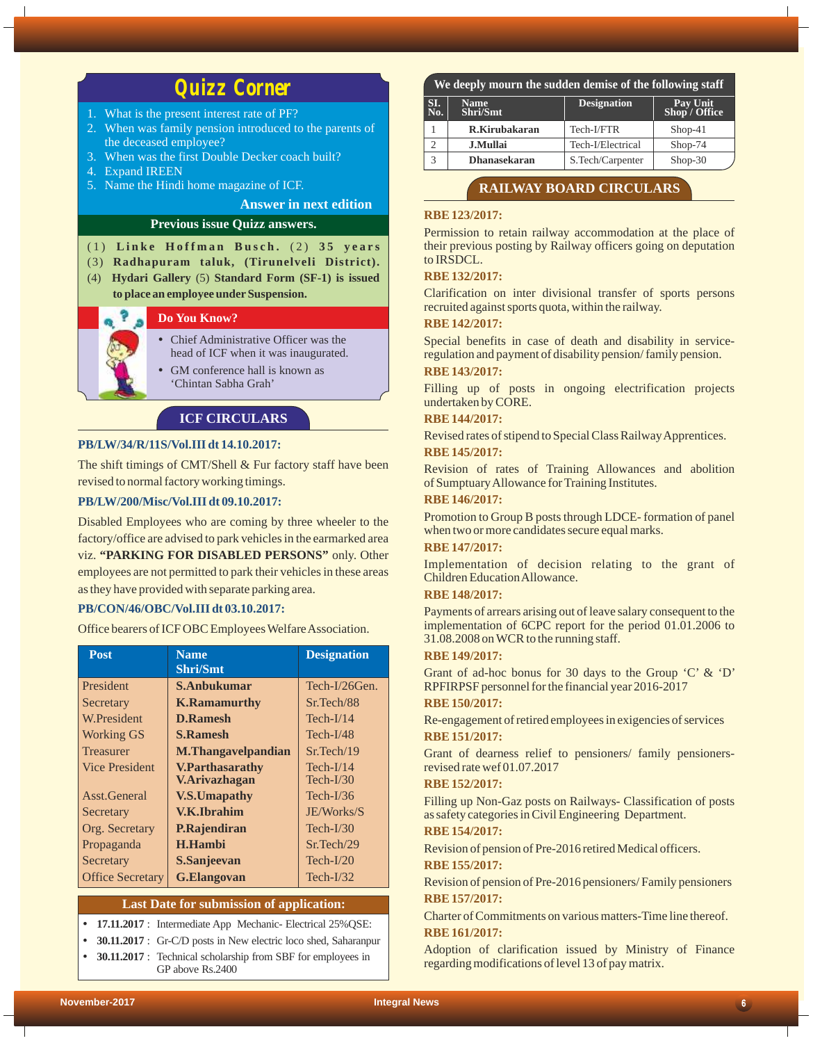# *Quizz Corner*

- 1. What is the present interest rate of PF?
- 2. When was family pension introduced to the parents of the deceased employee?
- 3. When was the first Double Decker coach built?
- 4. Expand IREEN
- 5. Name the Hindi home magazine of ICF.

## **Answer in next edition**

## **Previous issue Quizz answers.**

#### (1) Linke Hoffman Busch. (2) 35 years

- (3) **Radhapuram taluk, (Tirunelveli District).**
- (4) **Hydari Gallery** (5) **Standard Form (SF-1) is issued to place an employee underSuspension.**

# **Do You Know?**

- Chief Administrative Officer was the head of ICF when it was inaugurated.
- GM conference hall is known as 'Chintan Sabha Grah'

## **ICF CIRCULARS**

#### **PB/LW/34/R/11S/Vol.III dt 14.10.2017:**

The shift timings of CMT/Shell & Fur factory staff have been revised to normal factory working timings.

#### **PB/LW/200/Misc/Vol.III dt 09.10.2017:**

Disabled Employees who are coming by three wheeler to the factory/office are advised to park vehicles in the earmarked area viz. **"PARKING FOR DISABLED PERSONS"** only. Other employees are not permitted to park their vehicles in these areas as they have provided with separate parking area.

#### **PB/CON/46/OBC/Vol.III dt 03.10.2017:**

Office bearers of ICF OBC Employees Welfare Association.

| <b>Post</b>             | <b>Name</b><br><b>Shri/Smt</b> | <b>Designation</b> |
|-------------------------|--------------------------------|--------------------|
| <b>President</b>        | S.Anbukumar                    | Tech-I/26Gen.      |
| Secretary               | <b>K.Ramamurthy</b>            | Sr.Tech/88         |
| W.President             | <b>D.Ramesh</b>                | $Tech-I/14$        |
| <b>Working GS</b>       | <b>S.Ramesh</b>                | $Tech-I/48$        |
| <b>Treasurer</b>        | <b>M.Thangavelpandian</b>      | Sr. Tech/19        |
| <b>Vice President</b>   | <b>V.Parthasarathy</b>         | $Tech-I/14$        |
|                         | <b>V.Arivazhagan</b>           | $Tech-I/30$        |
| Asst.General            | <b>V.S.Umapathy</b>            | Tech- $I/36$       |
| Secretary               | <b>V.K.Ibrahim</b>             | JE/Works/S         |
| Org. Secretary          | P.Rajendiran                   | $Tech-I/30$        |
| Propaganda              | <b>H.Hambi</b>                 | Sr.Tech/29         |
| Secretary               | S.Sanjeevan                    | $Tech-I/20$        |
| <b>Office Secretary</b> | <b>G.Elangovan</b>             | Tech- $I/32$       |

#### **Last Date for submission of application:**

 $\bullet$  **17.11.2017** : Intermediate App Mechanic- Electrical 25% QSE:

• **30.11.2017** : Gr-C/D posts in New electric loco shed, Saharanpur

• **30.11.2017** : Technical scholarship from SBF for employees in GP above Rs.2400

## **We deeply mourn the sudden demise of the following staff**

| SI.<br>$\overline{\text{No}}$ . | <b>Name</b><br>Shri/Smt | <b>Designation</b> | Pay Unit<br>Shop / Office |
|---------------------------------|-------------------------|--------------------|---------------------------|
|                                 | R.Kirubakaran           | Tech-I/FTR         | $Shop-41$                 |
|                                 | <b>J.Mullai</b>         | Tech-I/Electrical  | Shop-74                   |
|                                 | <b>Dhanasekaran</b>     | S.Tech/Carpenter   | $Shop-30$                 |

## **RAILWAY BOARD CIRCULARS**

#### **RBE 123/2017:**

Permission to retain railway accommodation at the place of their previous posting by Railway officers going on deputation to IRSDCL.

#### **RBE 132/2017:**

Clarification on inter divisional transfer of sports persons recruited against sports quota, within the railway.

## **RBE 142/2017:**

Special benefits in case of death and disability in serviceregulation and payment of disability pension/ family pension.

#### **RBE 143/2017:**

Filling up of posts in ongoing electrification projects undertaken by CORE.

### **RBE 144/2017:**

**RBE 145/2017:** Revised rates of stipend to Special Class Railway Apprentices.

Revision of rates of Training Allowances and abolition of Sumptuary Allowance for Training Institutes.

#### **RBE 146/2017:**

Promotion to Group B posts through LDCE- formation of panel when two or more candidates secure equal marks.

## **RBE 147/2017:**

Implementation of decision relating to the grant of Children Education Allowance.

## **RBE 148/2017:**

Payments of arrears arising out of leave salary consequent to the implementation of 6CPC report for the period 01.01.2006 to 31.08.2008 on WCR to the running staff.

#### **RBE 149/2017:**

Grant of ad-hoc bonus for 30 days to the Group 'C' & 'D' RPFIRPSF personnel for the financial year 2016-2017

#### **RBE 150/2017:**

**RBE 151/2017:** Re-engagement of retired employees in exigencies of services

Grant of dearness relief to pensioners/ family pensionersrevised rate wef 01.07.2017

#### **RBE 152/2017:**

Filling up Non-Gaz posts on Railways- Classification of posts as safety categories in Civil Engineering Department.

# **RBE 154/2017:**

Revision of pension of Pre-2016 retired Medical officers.

# **RBE 155/2017:**

**RBE 157/2017:** Revision of pension of Pre-2016 pensioners/ Family pensioners

**RBE 161/2017:** Charter of Commitments on various matters-Time line thereof.

Adoption of clarification issued by Ministry of Finance regarding modifications of level 13 of pay matrix.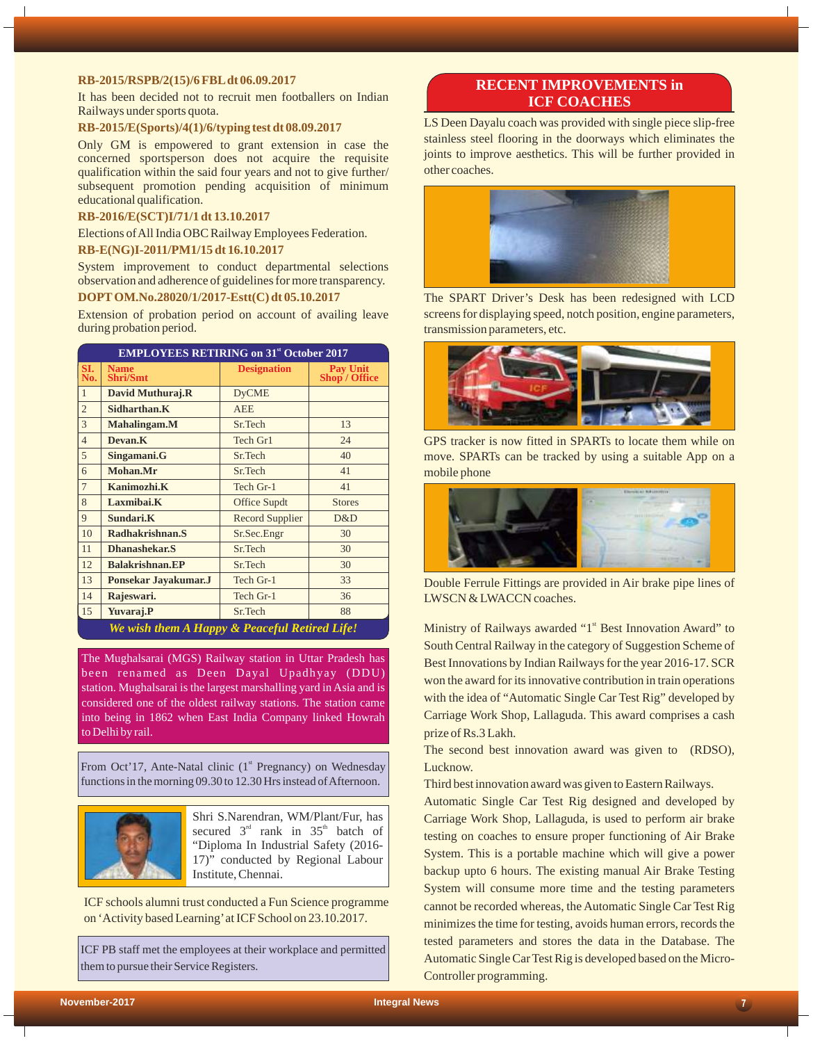#### **RB-2015/RSPB/2(15)/6 FBLdt 06.09.2017**

It has been decided not to recruit men footballers on Indian Railways under sports quota.

#### **RB-2015/E(Sports)/4(1)/6/typing test dt 08.09.2017**

Only GM is empowered to grant extension in case the concerned sportsperson does not acquire the requisite qualification within the said four years and not to give further/ subsequent promotion pending acquisition of minimum educational qualification.

#### **RB-2016/E(SCT)I/71/1 dt 13.10.2017**

Elections of All India OBC Railway Employees Federation.

#### **RB-E(NG)I-2011/PM1/15 dt 16.10.2017**

System improvement to conduct departmental selections observation and adherence of guidelines for more transparency.

## **DOPTOM.No.28020/1/2017-Estt(C) dt 05.10.2017**

Extension of probation period on account of availing leave during probation period.

| <b>EMPLOYEES RETIRING on 31<sup>st</sup> October 2017</b> |                                               |                        |                                  |  |  |
|-----------------------------------------------------------|-----------------------------------------------|------------------------|----------------------------------|--|--|
| SI.<br>No.                                                | <b>Name</b><br><b>Shri/Smt</b>                | <b>Designation</b>     | <b>Pay Unit</b><br>Shop / Office |  |  |
| $\mathbf{1}$                                              | David Muthuraj.R                              | <b>DyCME</b>           |                                  |  |  |
| $\overline{2}$                                            | Sidharthan.K                                  | <b>AEE</b>             |                                  |  |  |
| 3                                                         | Mahalingam.M                                  | Sr.Tech                | 13                               |  |  |
| $\overline{4}$                                            | Devan <sub>.K</sub>                           | Tech Gr1               | 24                               |  |  |
| 5                                                         | Singamani.G                                   | Sr.Tech                | 40                               |  |  |
| 6                                                         | Mohan.Mr                                      | Sr.Tech                | 41                               |  |  |
| $\overline{7}$                                            | Kanimozhi.K                                   | Tech Gr-1              | 41                               |  |  |
| 8                                                         | Laxmibai.K                                    | <b>Office Supdt</b>    | <b>Stores</b>                    |  |  |
| 9                                                         | Sundari.K                                     | <b>Record Supplier</b> | D&D                              |  |  |
| 10                                                        | Radhakrishnan.S                               | Sr.Sec.Engr            | 30                               |  |  |
| 11                                                        | <b>Dhanashekar.S</b>                          | Sr.Tech                | 30                               |  |  |
| 12                                                        | <b>Balakrishnan.EP</b>                        | Sr.Tech                | 30                               |  |  |
| 13                                                        | Ponsekar Jayakumar.J                          | Tech Gr-1              | 33                               |  |  |
| 14                                                        | Rajeswari.                                    | Tech Gr-1              | 36                               |  |  |
| 15                                                        | Yuvaraj.P                                     | Sr.Tech                | 88                               |  |  |
|                                                           | We wish them A Happy & Peaceful Retired Life! |                        |                                  |  |  |

The Mughalsarai (MGS) Railway station in Uttar Pradesh has been renamed as Deen Dayal Upadhyay (DDU) station. Mughalsarai is the largest marshalling yard in Asia and is considered one of the oldest railway stations. The station came into being in 1862 when East India Company linked Howrah to Delhi by rail.

From Oct'17, Ante-Natal clinic  $(1<sup>st</sup>$  Pregnancy) on Wednesday functions in the morning 09.30 to 12.30 Hrs instead of Afternoon.



Shri S.Narendran, WM/Plant/Fur, has secured  $3<sup>rd</sup>$  rank in  $35<sup>th</sup>$  batch of "Diploma In Industrial Safety (2016- 17)" conducted by Regional Labour Institute, Chennai.

ICF schools alumni trust conducted a Fun Science programme on 'Activity based Learning'at ICF School on 23.10.2017.

ICF PB staff met the employees at their workplace and permitted them to pursue their Service Registers.

## **RECENT IMPROVEMENTS in ICF COACHES**

LS Deen Dayalu coach was provided with single piece slip-free stainless steel flooring in the doorways which eliminates the joints to improve aesthetics. This will be further provided in other coaches.



The SPART Driver's Desk has been redesigned with LCD screens for displaying speed, notch position, engine parameters, transmission parameters, etc.



GPS tracker is now fitted in SPARTs to locate them while on move. SPARTs can be tracked by using a suitable App on a mobile phone



Double Ferrule Fittings are provided in Air brake pipe lines of LWSCN & LWACCN coaches.

Ministry of Railways awarded "1<sup>st</sup> Best Innovation Award" to South Central Railway in the category of Suggestion Scheme of Best Innovations by Indian Railways for the year 2016-17. SCR won the award for its innovative contribution in train operations with the idea of "Automatic Single Car Test Rig" developed by Carriage Work Shop, Lallaguda. This award comprises a cash prize of Rs.3 Lakh.

The second best innovation award was given to (RDSO), Lucknow.

Third best innovation award was given to Eastern Railways.

Automatic Single Car Test Rig designed and developed by Carriage Work Shop, Lallaguda, is used to perform air brake testing on coaches to ensure proper functioning of Air Brake System. This is a portable machine which will give a power backup upto 6 hours. The existing manual Air Brake Testing System will consume more time and the testing parameters cannot be recorded whereas, the Automatic Single Car Test Rig minimizes the time for testing, avoids human errors, records the tested parameters and stores the data in the Database. The Automatic Single Car Test Rig is developed based on the Micro-Controller programming.